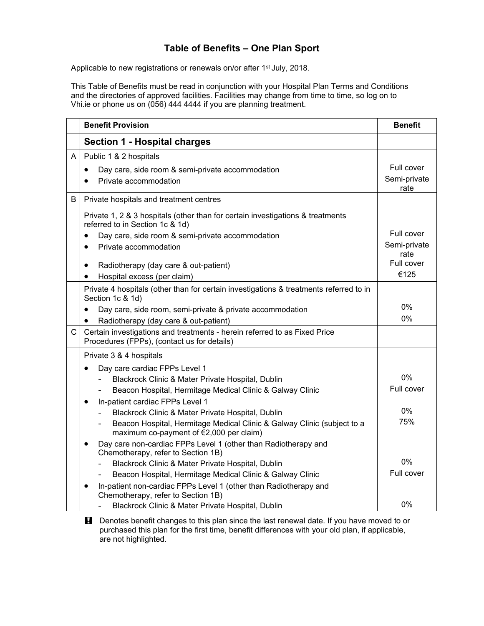## **Table of Benefits – One Plan Sport**

Applicable to new registrations or renewals on/or after 1<sup>st</sup> July, 2018.

This Table of Benefits must be read in conjunction with your Hospital Plan Terms and Conditions and the directories of approved facilities. Facilities may change from time to time, so log on to Vhi.ie or phone us on (056) 444 4444 if you are planning treatment.

|              | <b>Benefit Provision</b>                                                                                                                                                                                                                                                                                                                     | <b>Benefit</b>                                           |
|--------------|----------------------------------------------------------------------------------------------------------------------------------------------------------------------------------------------------------------------------------------------------------------------------------------------------------------------------------------------|----------------------------------------------------------|
|              | <b>Section 1 - Hospital charges</b>                                                                                                                                                                                                                                                                                                          |                                                          |
| A            | Public 1 & 2 hospitals<br>Day care, side room & semi-private accommodation<br>٠<br>Private accommodation                                                                                                                                                                                                                                     | Full cover<br>Semi-private<br>rate                       |
| B            | Private hospitals and treatment centres                                                                                                                                                                                                                                                                                                      |                                                          |
|              | Private 1, 2 & 3 hospitals (other than for certain investigations & treatments<br>referred to in Section 1c & 1d)<br>Day care, side room & semi-private accommodation<br>$\bullet$<br>Private accommodation<br>$\bullet$<br>Radiotherapy (day care & out-patient)<br>$\bullet$<br>Hospital excess (per claim)<br>$\bullet$                   | Full cover<br>Semi-private<br>rate<br>Full cover<br>€125 |
| $\mathsf{C}$ | Private 4 hospitals (other than for certain investigations & treatments referred to in<br>Section 1c & 1d)<br>Day care, side room, semi-private & private accommodation<br>٠<br>Radiotherapy (day care & out-patient)<br>$\bullet$<br>Certain investigations and treatments - herein referred to as Fixed Price                              | $0\%$<br>0%                                              |
|              | Procedures (FPPs), (contact us for details)                                                                                                                                                                                                                                                                                                  |                                                          |
|              | Private 3 & 4 hospitals<br>Day care cardiac FPPs Level 1<br>Blackrock Clinic & Mater Private Hospital, Dublin<br>Beacon Hospital, Hermitage Medical Clinic & Galway Clinic<br>In-patient cardiac FPPs Level 1<br>$\bullet$<br>Blackrock Clinic & Mater Private Hospital, Dublin                                                              | 0%<br>Full cover<br>0%                                   |
|              | Beacon Hospital, Hermitage Medical Clinic & Galway Clinic (subject to a<br>maximum co-payment of €2,000 per claim)<br>Day care non-cardiac FPPs Level 1 (other than Radiotherapy and<br>Chemotherapy, refer to Section 1B)<br>Blackrock Clinic & Mater Private Hospital, Dublin<br>Beacon Hospital, Hermitage Medical Clinic & Galway Clinic | 75%<br>0%<br>Full cover                                  |
|              | In-patient non-cardiac FPPs Level 1 (other than Radiotherapy and<br>Chemotherapy, refer to Section 1B)<br>Blackrock Clinic & Mater Private Hospital, Dublin                                                                                                                                                                                  | 0%                                                       |

**H** Denotes benefit changes to this plan since the last renewal date. If you have moved to or purchased this plan for the first time, benefit differences with your old plan, if applicable, are not highlighted.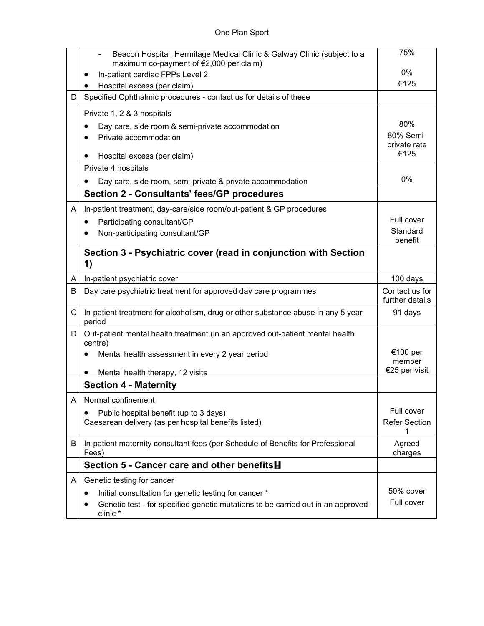|   | Beacon Hospital, Hermitage Medical Clinic & Galway Clinic (subject to a<br>maximum co-payment of €2,000 per claim) | 75%                               |
|---|--------------------------------------------------------------------------------------------------------------------|-----------------------------------|
|   | In-patient cardiac FPPs Level 2                                                                                    | 0%                                |
|   | Hospital excess (per claim)                                                                                        | €125                              |
| D | Specified Ophthalmic procedures - contact us for details of these                                                  |                                   |
|   | Private 1, 2 & 3 hospitals                                                                                         |                                   |
|   | Day care, side room & semi-private accommodation<br>$\bullet$                                                      | 80%                               |
|   | Private accommodation                                                                                              | 80% Semi-                         |
|   | Hospital excess (per claim)                                                                                        | private rate<br>€125              |
|   | Private 4 hospitals                                                                                                |                                   |
|   | Day care, side room, semi-private & private accommodation                                                          | 0%                                |
|   | <b>Section 2 - Consultants' fees/GP procedures</b>                                                                 |                                   |
| A | In-patient treatment, day-care/side room/out-patient & GP procedures                                               |                                   |
|   |                                                                                                                    | Full cover                        |
|   | Participating consultant/GP<br>٠<br>Non-participating consultant/GP                                                | Standard                          |
|   |                                                                                                                    | benefit                           |
|   | Section 3 - Psychiatric cover (read in conjunction with Section<br>1)                                              |                                   |
| A | In-patient psychiatric cover                                                                                       | 100 days                          |
| В | Day care psychiatric treatment for approved day care programmes                                                    | Contact us for<br>further details |
| C | In-patient treatment for alcoholism, drug or other substance abuse in any 5 year<br>period                         | 91 days                           |
| D | Out-patient mental health treatment (in an approved out-patient mental health<br>centre)                           |                                   |
|   | Mental health assessment in every 2 year period                                                                    | €100 per                          |
|   |                                                                                                                    | member<br>€25 per visit           |
|   | Mental health therapy, 12 visits<br>٠                                                                              |                                   |
|   | <b>Section 4 - Maternity</b>                                                                                       |                                   |
| A | Normal confinement                                                                                                 |                                   |
|   | Public hospital benefit (up to 3 days)                                                                             | Full cover                        |
|   | Caesarean delivery (as per hospital benefits listed)                                                               | <b>Refer Section</b><br>1         |
| B | In-patient maternity consultant fees (per Schedule of Benefits for Professional                                    | Agreed                            |
|   | Fees)<br>Section 5 - Cancer care and other benefits H                                                              | charges                           |
|   |                                                                                                                    |                                   |
| A | Genetic testing for cancer                                                                                         |                                   |
|   | Initial consultation for genetic testing for cancer *<br>$\bullet$                                                 | 50% cover                         |
|   | Genetic test - for specified genetic mutations to be carried out in an approved<br>clinic*                         | Full cover                        |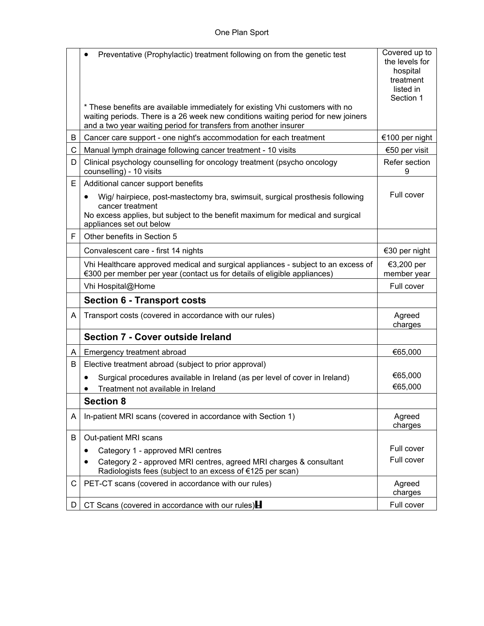|   | Preventative (Prophylactic) treatment following on from the genetic test<br>$\bullet$                                                                         | Covered up to             |
|---|---------------------------------------------------------------------------------------------------------------------------------------------------------------|---------------------------|
|   |                                                                                                                                                               | the levels for            |
|   |                                                                                                                                                               | hospital<br>treatment     |
|   |                                                                                                                                                               | listed in                 |
|   |                                                                                                                                                               | Section 1                 |
|   | * These benefits are available immediately for existing Vhi customers with no                                                                                 |                           |
|   | waiting periods. There is a 26 week new conditions waiting period for new joiners<br>and a two year waiting period for transfers from another insurer         |                           |
| В | Cancer care support - one night's accommodation for each treatment                                                                                            | €100 per night            |
| C | Manual lymph drainage following cancer treatment - 10 visits                                                                                                  | €50 per visit             |
| D | Clinical psychology counselling for oncology treatment (psycho oncology<br>counselling) - 10 visits                                                           | Refer section<br>9        |
| Е | Additional cancer support benefits                                                                                                                            |                           |
|   | Wig/ hairpiece, post-mastectomy bra, swimsuit, surgical prosthesis following<br>٠                                                                             | Full cover                |
|   | cancer treatment<br>No excess applies, but subject to the benefit maximum for medical and surgical                                                            |                           |
|   | appliances set out below                                                                                                                                      |                           |
| F | Other benefits in Section 5                                                                                                                                   |                           |
|   | Convalescent care - first 14 nights                                                                                                                           | €30 per night             |
|   | Vhi Healthcare approved medical and surgical appliances - subject to an excess of<br>€300 per member per year (contact us for details of eligible appliances) | €3,200 per<br>member year |
|   | Vhi Hospital@Home                                                                                                                                             | Full cover                |
|   | <b>Section 6 - Transport costs</b>                                                                                                                            |                           |
| A | Transport costs (covered in accordance with our rules)                                                                                                        | Agreed<br>charges         |
|   | <b>Section 7 - Cover outside Ireland</b>                                                                                                                      |                           |
| A | Emergency treatment abroad                                                                                                                                    | €65,000                   |
| В | Elective treatment abroad (subject to prior approval)                                                                                                         |                           |
|   | Surgical procedures available in Ireland (as per level of cover in Ireland)<br>$\bullet$                                                                      | €65,000                   |
|   | Treatment not available in Ireland                                                                                                                            | €65,000                   |
|   | <b>Section 8</b>                                                                                                                                              |                           |
| A | In-patient MRI scans (covered in accordance with Section 1)                                                                                                   | Agreed                    |
|   |                                                                                                                                                               | charges                   |
| B | Out-patient MRI scans                                                                                                                                         |                           |
|   | Category 1 - approved MRI centres<br>$\bullet$                                                                                                                | Full cover<br>Full cover  |
|   | Category 2 - approved MRI centres, agreed MRI charges & consultant<br>Radiologists fees (subject to an excess of €125 per scan)                               |                           |
| С | PET-CT scans (covered in accordance with our rules)                                                                                                           | Agreed<br>charges         |
| D | CT Scans (covered in accordance with our rules) $\blacksquare$                                                                                                | Full cover                |
|   |                                                                                                                                                               |                           |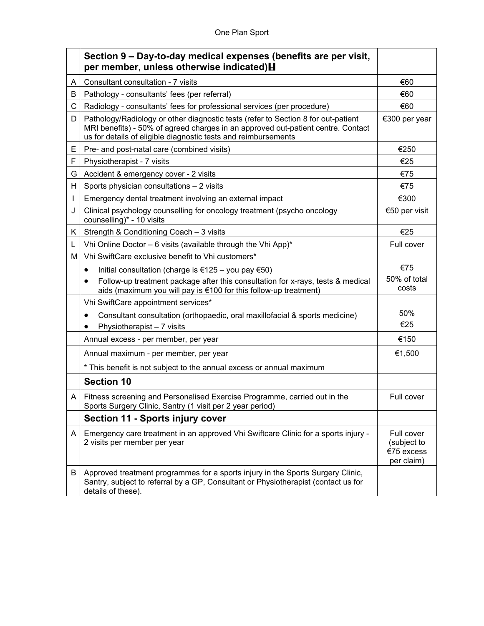## One Plan Sport

|    | Section 9 – Day-to-day medical expenses (benefits are per visit,<br>per member, unless otherwise indicated) H                                                                                                                           |                                                       |
|----|-----------------------------------------------------------------------------------------------------------------------------------------------------------------------------------------------------------------------------------------|-------------------------------------------------------|
| A  | Consultant consultation - 7 visits                                                                                                                                                                                                      | €60                                                   |
| B  | Pathology - consultants' fees (per referral)                                                                                                                                                                                            | €60                                                   |
| C  | Radiology - consultants' fees for professional services (per procedure)                                                                                                                                                                 | €60                                                   |
| D  | Pathology/Radiology or other diagnostic tests (refer to Section 8 for out-patient<br>MRI benefits) - 50% of agreed charges in an approved out-patient centre. Contact<br>us for details of eligible diagnostic tests and reimbursements | €300 per year                                         |
| E. | Pre- and post-natal care (combined visits)                                                                                                                                                                                              | €250                                                  |
| F  | Physiotherapist - 7 visits                                                                                                                                                                                                              | €25                                                   |
| G  | Accident & emergency cover - 2 visits                                                                                                                                                                                                   | €75                                                   |
| H. | Sports physician consultations - 2 visits                                                                                                                                                                                               | €75                                                   |
|    | Emergency dental treatment involving an external impact                                                                                                                                                                                 | €300                                                  |
| J  | Clinical psychology counselling for oncology treatment (psycho oncology<br>counselling)* - 10 visits                                                                                                                                    | €50 per visit                                         |
| K. | Strength & Conditioning Coach - 3 visits                                                                                                                                                                                                | €25                                                   |
| L  | Vhi Online Doctor - 6 visits (available through the Vhi App)*                                                                                                                                                                           | Full cover                                            |
| Μ  | Vhi SwiftCare exclusive benefit to Vhi customers*                                                                                                                                                                                       |                                                       |
|    | Initial consultation (charge is €125 – you pay €50)<br>$\bullet$                                                                                                                                                                        | €75                                                   |
|    | Follow-up treatment package after this consultation for x-rays, tests & medical<br>aids (maximum you will pay is €100 for this follow-up treatment)                                                                                     | 50% of total<br>costs                                 |
|    | Vhi SwiftCare appointment services*                                                                                                                                                                                                     |                                                       |
|    | Consultant consultation (orthopaedic, oral maxillofacial & sports medicine)<br>Physiotherapist - 7 visits                                                                                                                               | 50%<br>€25                                            |
|    | Annual excess - per member, per year                                                                                                                                                                                                    | €150                                                  |
|    | Annual maximum - per member, per year                                                                                                                                                                                                   | €1,500                                                |
|    | * This benefit is not subject to the annual excess or annual maximum                                                                                                                                                                    |                                                       |
|    | <b>Section 10</b>                                                                                                                                                                                                                       |                                                       |
| A  | Fitness screening and Personalised Exercise Programme, carried out in the<br>Sports Surgery Clinic, Santry (1 visit per 2 year period)                                                                                                  | Full cover                                            |
|    | <b>Section 11 - Sports injury cover</b>                                                                                                                                                                                                 |                                                       |
| A  | Emergency care treatment in an approved Vhi Swiftcare Clinic for a sports injury -<br>2 visits per member per year                                                                                                                      | Full cover<br>(subject to<br>€75 excess<br>per claim) |
| B  | Approved treatment programmes for a sports injury in the Sports Surgery Clinic,<br>Santry, subject to referral by a GP, Consultant or Physiotherapist (contact us for<br>details of these).                                             |                                                       |